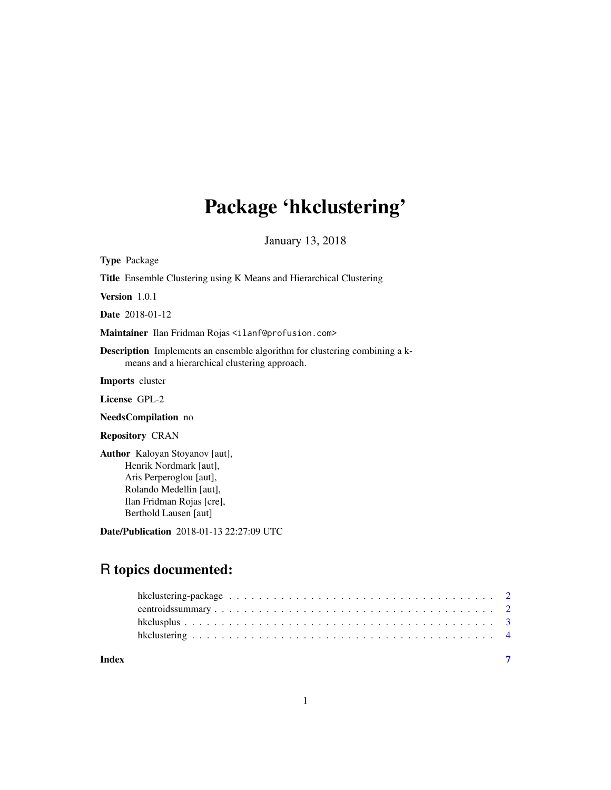# Package 'hkclustering'

January 13, 2018

Type Package Title Ensemble Clustering using K Means and Hierarchical Clustering Version 1.0.1 Date 2018-01-12 Maintainer Ilan Fridman Rojas <ilanf@profusion.com> Description Implements an ensemble algorithm for clustering combining a kmeans and a hierarchical clustering approach. Imports cluster License GPL-2 NeedsCompilation no Repository CRAN Author Kaloyan Stoyanov [aut], Henrik Nordmark [aut], Aris Perperoglou [aut], Rolando Medellin [aut], Ilan Fridman Rojas [cre], Berthold Lausen [aut] Date/Publication 2018-01-13 22:27:09 UTC R topics documented:

| Index |  |
|-------|--|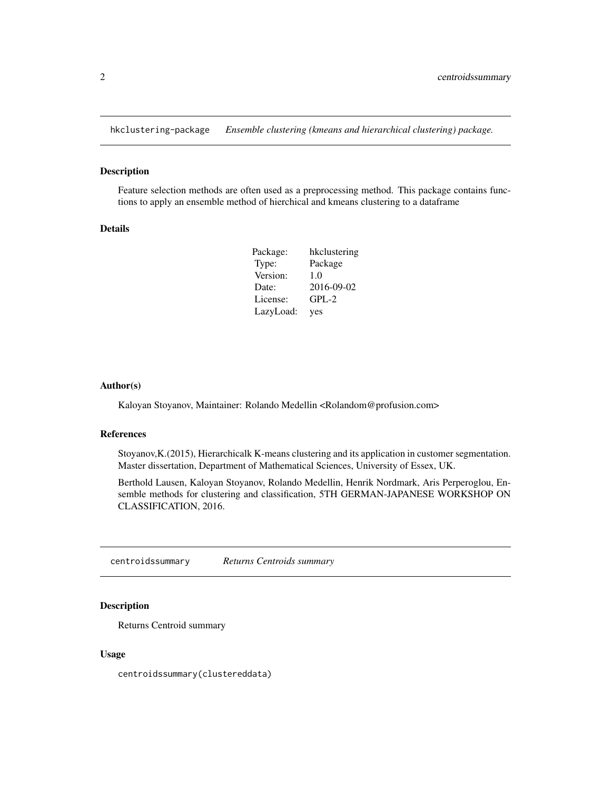<span id="page-1-0"></span>hkclustering-package *Ensemble clustering (kmeans and hierarchical clustering) package.*

# Description

Feature selection methods are often used as a preprocessing method. This package contains functions to apply an ensemble method of hierchical and kmeans clustering to a dataframe

# Details

| Package:  | hkclustering |
|-----------|--------------|
| Type:     | Package      |
| Version:  | 1.0          |
| Date:     | 2016-09-02   |
| License:  | $GPL-2$      |
| LazyLoad: | yes          |

# Author(s)

Kaloyan Stoyanov, Maintainer: Rolando Medellin <Rolandom@profusion.com>

#### References

Stoyanov,K.(2015), Hierarchicalk K-means clustering and its application in customer segmentation. Master dissertation, Department of Mathematical Sciences, University of Essex, UK.

Berthold Lausen, Kaloyan Stoyanov, Rolando Medellin, Henrik Nordmark, Aris Perperoglou, Ensemble methods for clustering and classification, 5TH GERMAN-JAPANESE WORKSHOP ON CLASSIFICATION, 2016.

centroidssummary *Returns Centroids summary*

#### Description

Returns Centroid summary

#### Usage

centroidssummary(clustereddata)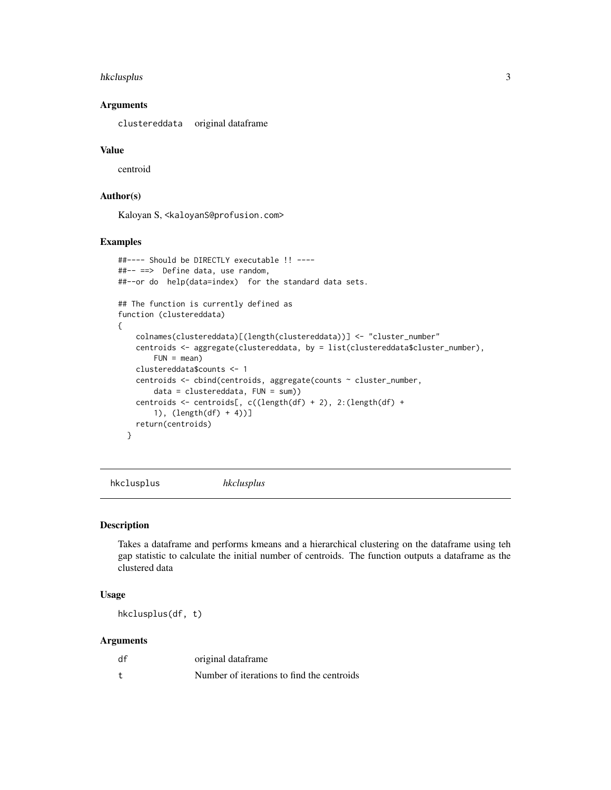# <span id="page-2-0"></span>hkclusplus 3

# Arguments

clustereddata original dataframe

# Value

centroid

# Author(s)

Kaloyan S, <kaloyanS@profusion.com>

# Examples

```
##---- Should be DIRECTLY executable !! ----
##-- ==> Define data, use random,
##--or do help(data=index) for the standard data sets.
## The function is currently defined as
function (clustereddata)
{
    colnames(clustereddata)[(length(clustereddata))] <- "cluster_number"
   centroids <- aggregate(clustereddata, by = list(clustereddata$cluster_number),
       FUN = mean)clustereddata$counts <- 1
   centroids <- cbind(centroids, aggregate(counts ~ cluster_number,
       data = clustereddata, FUN = sum))
    centroids <- centroids[, c((length(df) + 2), 2:(length(df) +
       1), (length(df) + 4))]
   return(centroids)
 }
```
hkclusplus *hkclusplus*

# Description

Takes a dataframe and performs kmeans and a hierarchical clustering on the dataframe using teh gap statistic to calculate the initial number of centroids. The function outputs a dataframe as the clustered data

# Usage

hkclusplus(df, t)

#### **Arguments**

| df | original dataframe                         |
|----|--------------------------------------------|
|    | Number of iterations to find the centroids |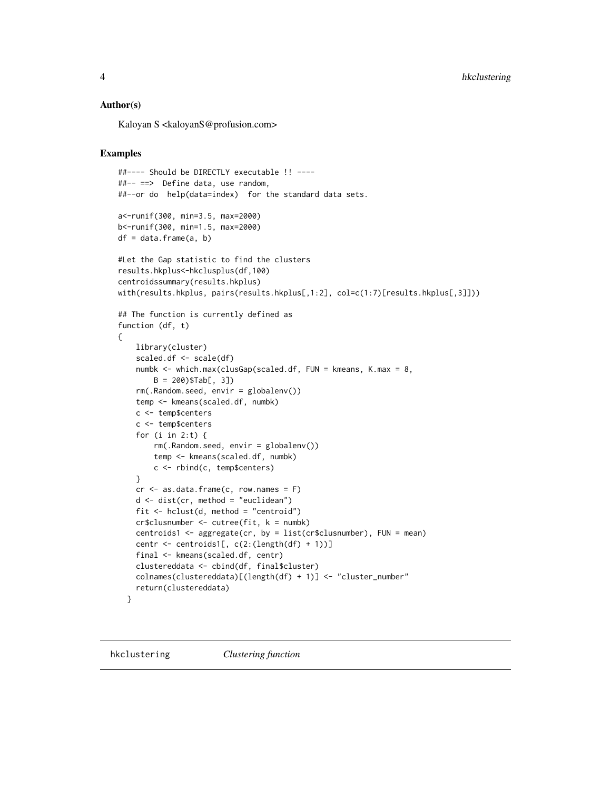# <span id="page-3-0"></span>Author(s)

Kaloyan S <kaloyanS@profusion.com>

#### Examples

```
##---- Should be DIRECTLY executable !! ----
##-- ==> Define data, use random,
##--or do help(data=index) for the standard data sets.
a<-runif(300, min=3.5, max=2000)
b<-runif(300, min=1.5, max=2000)
df = data.frame(a, b)#Let the Gap statistic to find the clusters
results.hkplus<-hkclusplus(df,100)
centroidssummary(results.hkplus)
with(results.hkplus, pairs(results.hkplus[,1:2], col=c(1:7)[results.hkplus[,3]]))
## The function is currently defined as
function (df, t)
{
   library(cluster)
    scaled.df <- scale(df)
   numbk <- which.max(clusGap(scaled.df, FUN = kmeans, K.max = 8,
       B = 200)$Tab[, 3])
   rm(.Random.seed, envir = globalenv())
   temp <- kmeans(scaled.df, numbk)
   c <- temp$centers
   c <- temp$centers
    for (i in 2:t) \{rm(.Random.seed, envir = globalenv())
       temp <- kmeans(scaled.df, numbk)
       c <- rbind(c, temp$centers)
    }
   cr < - as.data.frame(c, row.names = F)
   d \leq -dist(cr, method = "euclidean")fit \le hclust(d, method = "centroid")
   cr$clusnumber <- cutree(fit, k = numbk)
   centroids1 <- aggregate(cr, by = list(cr$clusnumber), FUN = mean)
   centr <- centroids1[, c(2:(length(df) + 1))]
    final <- kmeans(scaled.df, centr)
    clustereddata <- cbind(df, final$cluster)
   colnames(clustereddata)[(length(df) + 1)] <- "cluster_number"
   return(clustereddata)
 }
```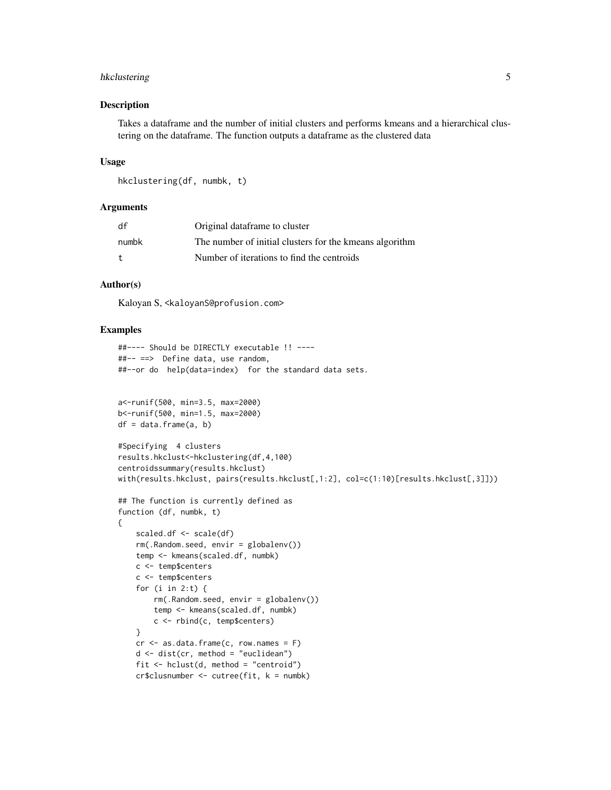# hkclustering 5

#### Description

Takes a dataframe and the number of initial clusters and performs kmeans and a hierarchical clustering on the dataframe. The function outputs a dataframe as the clustered data

# Usage

```
hkclustering(df, numbk, t)
```
# **Arguments**

| df    | Original dataframe to cluster                           |
|-------|---------------------------------------------------------|
| numbk | The number of initial clusters for the kmeans algorithm |
| t     | Number of iterations to find the centroids              |

# Author(s)

Kaloyan S, <kaloyanS@profusion.com>

#### Examples

```
##---- Should be DIRECTLY executable !! ----
##-- ==> Define data, use random,
##--or do help(data=index) for the standard data sets.
a<-runif(500, min=3.5, max=2000)
b<-runif(500, min=1.5, max=2000)
df = data.frame(a, b)#Specifying 4 clusters
results.hkclust<-hkclustering(df,4,100)
centroidssummary(results.hkclust)
with(results.hkclust, pairs(results.hkclust[,1:2], col=c(1:10)[results.hkclust[,3]]))
## The function is currently defined as
function (df, numbk, t)
{
    scaled.df <- scale(df)
   rm(.Random.seed, envir = globalenv())
   temp <- kmeans(scaled.df, numbk)
   c <- temp$centers
   c <- temp$centers
    for (i in 2:t) {
       rm(.Random.seed, envir = globalenv())
        temp <- kmeans(scaled.df, numbk)
        c <- rbind(c, temp$centers)
    }
   cr < -as.data frame(c, row.name = F)d \leftarrow dist(cr, method = "euclidean")fit \le hclust(d, method = "centroid")
   cr$clusnumber <- cutree(fit, k = numbk)
```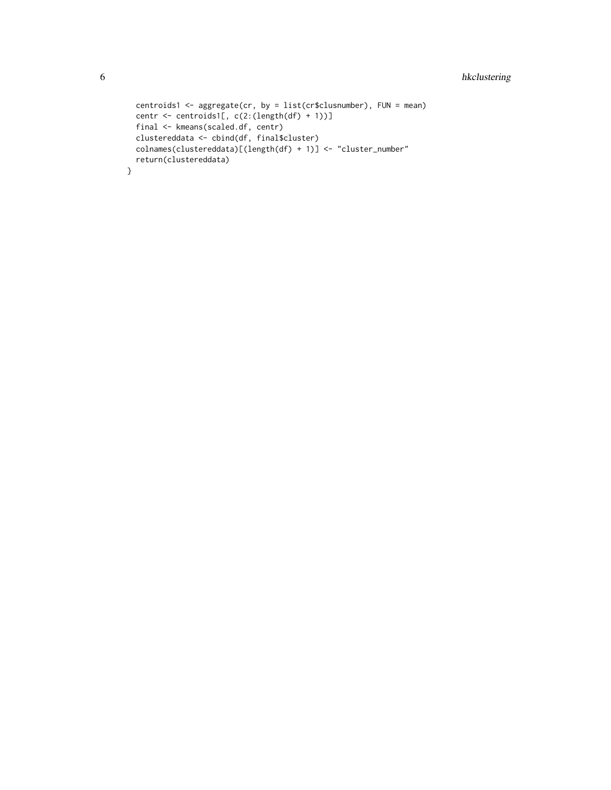```
centroids1 <- aggregate(cr, by = list(cr$clusnumber), FUN = mean)
centr <- centroids1[, c(2:(length(df) + 1))]
final <- kmeans(scaled.df, centr)
clustereddata <- cbind(df, final$cluster)
colnames(clustereddata)[(length(df) + 1)] <- "cluster_number"
return(clustereddata)
```
}